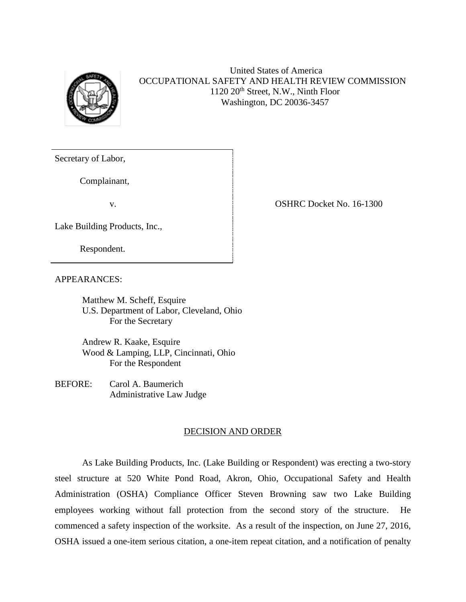

## United States of America OCCUPATIONAL SAFETY AND HEALTH REVIEW COMMISSION 1120 20th Street, N.W., Ninth Floor Washington, DC 20036-3457

Secretary of Labor,

Complainant,

Lake Building Products, Inc.,

Respondent.

APPEARANCES:

Matthew M. Scheff, Esquire U.S. Department of Labor, Cleveland, Ohio For the Secretary

Andrew R. Kaake, Esquire Wood & Lamping, LLP, Cincinnati, Ohio For the Respondent

BEFORE: Carol A. Baumerich Administrative Law Judge

## DECISION AND ORDER

As Lake Building Products, Inc. (Lake Building or Respondent) was erecting a two-story steel structure at 520 White Pond Road, Akron, Ohio, Occupational Safety and Health Administration (OSHA) Compliance Officer Steven Browning saw two Lake Building employees working without fall protection from the second story of the structure. He commenced a safety inspection of the worksite. As a result of the inspection, on June 27, 2016, OSHA issued a one-item serious citation, a one-item repeat citation, and a notification of penalty

v. Samuel School (State of the OSHRC Docket No. 16-1300)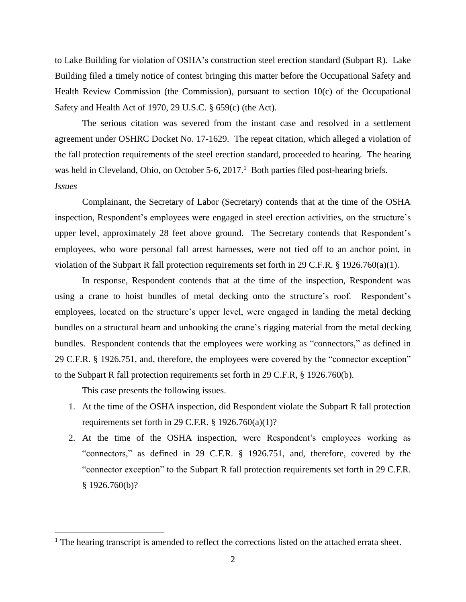to Lake Building for violation of OSHA's construction steel erection standard (Subpart R). Lake Building filed a timely notice of contest bringing this matter before the Occupational Safety and Health Review Commission (the Commission), pursuant to section  $10(c)$  of the Occupational Safety and Health Act of 1970, 29 U.S.C. § 659(c) (the Act).

The serious citation was severed from the instant case and resolved in a settlement agreement under OSHRC Docket No. 17-1629. The repeat citation, which alleged a violation of the fall protection requirements of the steel erection standard, proceeded to hearing. The hearing was held in Cleveland, Ohio, on October 5-6, 2017.<sup>1</sup> Both parties filed post-hearing briefs. *Issues*

Complainant, the Secretary of Labor (Secretary) contends that at the time of the OSHA inspection, Respondent's employees were engaged in steel erection activities, on the structure's upper level, approximately 28 feet above ground. The Secretary contends that Respondent's employees, who wore personal fall arrest harnesses, were not tied off to an anchor point, in violation of the Subpart R fall protection requirements set forth in 29 C.F.R. § 1926.760(a)(1).

In response, Respondent contends that at the time of the inspection, Respondent was using a crane to hoist bundles of metal decking onto the structure's roof. Respondent's employees, located on the structure's upper level, were engaged in landing the metal decking bundles on a structural beam and unhooking the crane's rigging material from the metal decking bundles. Respondent contends that the employees were working as "connectors," as defined in 29 C.F.R. § 1926.751, and, therefore, the employees were covered by the "connector exception" to the Subpart R fall protection requirements set forth in 29 C.F.R, § 1926.760(b).

This case presents the following issues.

- 1. At the time of the OSHA inspection, did Respondent violate the Subpart R fall protection requirements set forth in 29 C.F.R.  $\S$  1926.760(a)(1)?
- 2. At the time of the OSHA inspection, were Respondent's employees working as "connectors," as defined in 29 C.F.R. § 1926.751, and, therefore, covered by the "connector exception" to the Subpart R fall protection requirements set forth in 29 C.F.R. § 1926.760(b)?

<sup>&</sup>lt;sup>1</sup> The hearing transcript is amended to reflect the corrections listed on the attached errata sheet.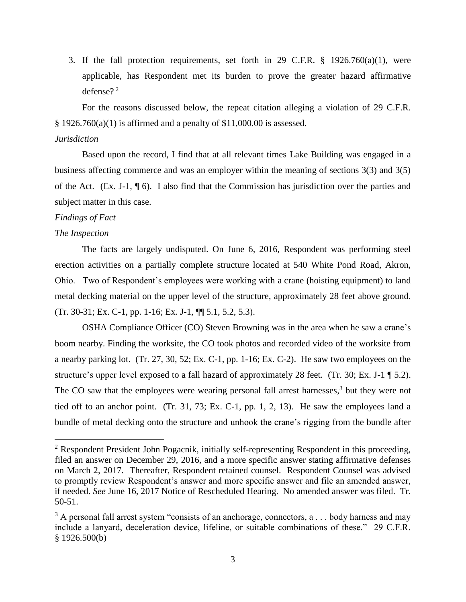3. If the fall protection requirements, set forth in 29 C.F.R.  $\S$  1926.760(a)(1), were applicable, has Respondent met its burden to prove the greater hazard affirmative defense? 2

For the reasons discussed below, the repeat citation alleging a violation of 29 C.F.R.  $§$  1926.760(a)(1) is affirmed and a penalty of \$11,000.00 is assessed.

## *Jurisdiction*

Based upon the record, I find that at all relevant times Lake Building was engaged in a business affecting commerce and was an employer within the meaning of sections 3(3) and 3(5) of the Act*.* (Ex. J-1, ¶ 6). I also find that the Commission has jurisdiction over the parties and subject matter in this case.

## *Findings of Fact*

#### *The Inspection*

l

The facts are largely undisputed. On June 6, 2016, Respondent was performing steel erection activities on a partially complete structure located at 540 White Pond Road, Akron, Ohio. Two of Respondent's employees were working with a crane (hoisting equipment) to land metal decking material on the upper level of the structure, approximately 28 feet above ground. (Tr. 30-31; Ex. C-1, pp. 1-16; Ex. J-1, ¶¶ 5.1, 5.2, 5.3).

OSHA Compliance Officer (CO) Steven Browning was in the area when he saw a crane's boom nearby. Finding the worksite, the CO took photos and recorded video of the worksite from a nearby parking lot. (Tr. 27, 30, 52; Ex. C-1, pp. 1-16; Ex. C-2). He saw two employees on the structure's upper level exposed to a fall hazard of approximately 28 feet. (Tr. 30; Ex. J-1 ¶ 5.2). The CO saw that the employees were wearing personal fall arrest harnesses,<sup>3</sup> but they were not tied off to an anchor point. (Tr. 31, 73; Ex. C-1, pp. 1, 2, 13). He saw the employees land a bundle of metal decking onto the structure and unhook the crane's rigging from the bundle after

 $2$  Respondent President John Pogacnik, initially self-representing Respondent in this proceeding, filed an answer on December 29, 2016, and a more specific answer stating affirmative defenses on March 2, 2017. Thereafter, Respondent retained counsel. Respondent Counsel was advised to promptly review Respondent's answer and more specific answer and file an amended answer, if needed. *See* June 16, 2017 Notice of Rescheduled Hearing. No amended answer was filed. Tr. 50-51.

 $3$  A personal fall arrest system "consists of an anchorage, connectors, a . . . body harness and may include a lanyard, deceleration device, lifeline, or suitable combinations of these." 29 C.F.R. § 1926.500(b)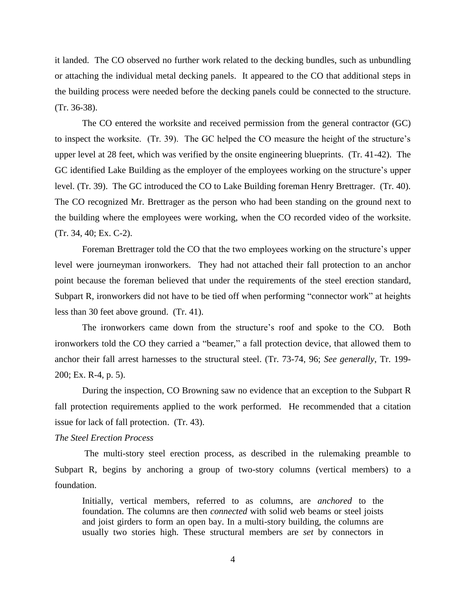it landed. The CO observed no further work related to the decking bundles, such as unbundling or attaching the individual metal decking panels. It appeared to the CO that additional steps in the building process were needed before the decking panels could be connected to the structure. (Tr. 36-38).

The CO entered the worksite and received permission from the general contractor (GC) to inspect the worksite. (Tr. 39). The GC helped the CO measure the height of the structure's upper level at 28 feet, which was verified by the onsite engineering blueprints. (Tr. 41-42). The GC identified Lake Building as the employer of the employees working on the structure's upper level. (Tr. 39). The GC introduced the CO to Lake Building foreman Henry Brettrager. (Tr. 40). The CO recognized Mr. Brettrager as the person who had been standing on the ground next to the building where the employees were working, when the CO recorded video of the worksite. (Tr. 34, 40; Ex. C-2).

Foreman Brettrager told the CO that the two employees working on the structure's upper level were journeyman ironworkers. They had not attached their fall protection to an anchor point because the foreman believed that under the requirements of the steel erection standard, Subpart R, ironworkers did not have to be tied off when performing "connector work" at heights less than 30 feet above ground. (Tr. 41).

The ironworkers came down from the structure's roof and spoke to the CO. Both ironworkers told the CO they carried a "beamer," a fall protection device, that allowed them to anchor their fall arrest harnesses to the structural steel. (Tr. 73-74, 96; *See generally*, Tr. 199- 200; Ex. R-4, p. 5).

During the inspection, CO Browning saw no evidence that an exception to the Subpart R fall protection requirements applied to the work performed. He recommended that a citation issue for lack of fall protection. (Tr. 43).

### *The Steel Erection Process*

The multi-story steel erection process, as described in the rulemaking preamble to Subpart R, begins by anchoring a group of two-story columns (vertical members) to a foundation.

Initially, vertical members, referred to as columns, are *anchored* to the foundation. The columns are then *connected* with solid web beams or steel joists and joist girders to form an open bay. In a multi-story building, the columns are usually two stories high. These structural members are *set* by connectors in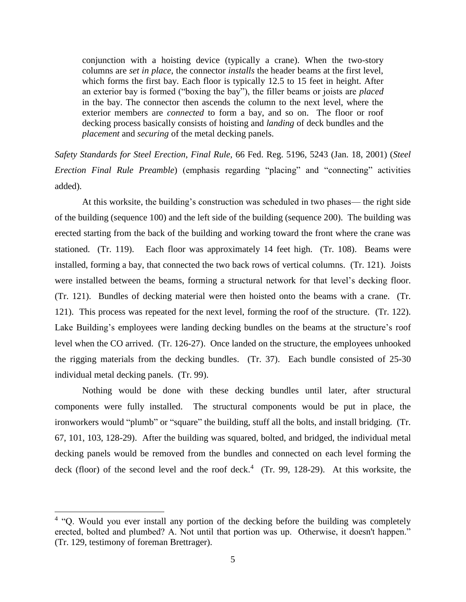conjunction with a hoisting device (typically a crane). When the two-story columns are *set in place*, the connector *installs* the header beams at the first level, which forms the first bay. Each floor is typically 12.5 to 15 feet in height. After an exterior bay is formed ("boxing the bay"), the filler beams or joists are *placed*  in the bay. The connector then ascends the column to the next level, where the exterior members are *connected* to form a bay, and so on. The floor or roof decking process basically consists of hoisting and *landing* of deck bundles and the *placement* and *securing* of the metal decking panels.

*Safety Standards for Steel Erection*, *Final Rule,* 66 Fed. Reg. 5196, 5243 (Jan. 18, 2001) (*Steel Erection Final Rule Preamble*) (emphasis regarding "placing" and "connecting" activities added).

At this worksite, the building's construction was scheduled in two phases— the right side of the building (sequence 100) and the left side of the building (sequence 200). The building was erected starting from the back of the building and working toward the front where the crane was stationed. (Tr. 119). Each floor was approximately 14 feet high. (Tr. 108). Beams were installed, forming a bay, that connected the two back rows of vertical columns. (Tr. 121). Joists were installed between the beams, forming a structural network for that level's decking floor. (Tr. 121). Bundles of decking material were then hoisted onto the beams with a crane. (Tr. 121). This process was repeated for the next level, forming the roof of the structure. (Tr. 122). Lake Building's employees were landing decking bundles on the beams at the structure's roof level when the CO arrived. (Tr. 126-27). Once landed on the structure, the employees unhooked the rigging materials from the decking bundles. (Tr. 37). Each bundle consisted of 25-30 individual metal decking panels. (Tr. 99).

Nothing would be done with these decking bundles until later, after structural components were fully installed. The structural components would be put in place, the ironworkers would "plumb" or "square" the building, stuff all the bolts, and install bridging. (Tr. 67, 101, 103, 128-29). After the building was squared, bolted, and bridged, the individual metal decking panels would be removed from the bundles and connected on each level forming the deck (floor) of the second level and the roof deck.<sup>4</sup> (Tr. 99, 128-29). At this worksite, the

l

<sup>&</sup>lt;sup>4</sup> "Q. Would you ever install any portion of the decking before the building was completely erected, bolted and plumbed? A. Not until that portion was up. Otherwise, it doesn't happen." (Tr. 129, testimony of foreman Brettrager).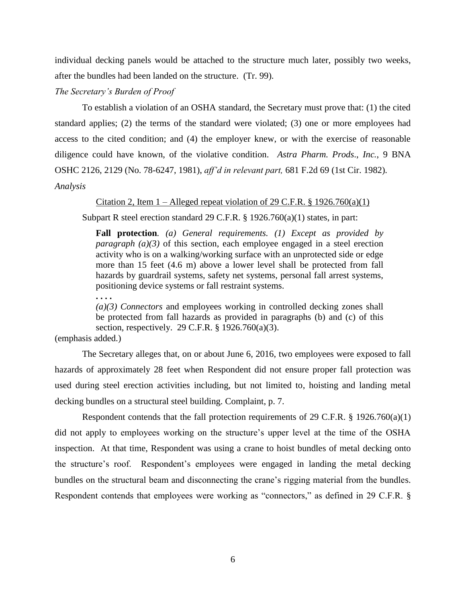individual decking panels would be attached to the structure much later, possibly two weeks, after the bundles had been landed on the structure. (Tr. 99).

*The Secretary's Burden of Proof*

To establish a violation of an OSHA standard, the Secretary must prove that: (1) the cited standard applies; (2) the terms of the standard were violated; (3) one or more employees had access to the cited condition; and (4) the employer knew, or with the exercise of reasonable diligence could have known, of the violative condition. *Astra Pharm. Prods*., *Inc.*, 9 BNA OSHC 2126, 2129 (No. 78-6247, 1981), *aff'd in relevant part,* 681 F.2d 69 (1st Cir. 1982).

*Analysis*

Citation 2, Item  $1 -$  Alleged repeat violation of 29 C.F.R. § 1926.760(a)(1)

Subpart R steel erection standard 29 C.F.R. § 1926.760(a)(1) states, in part:

**Fall protection***. (a) General requirements. (1) Except as provided by paragraph* (a)(3) of this section, each employee engaged in a steel erection activity who is on a walking/working surface with an unprotected side or edge more than 15 feet (4.6 m) above a lower level shall be protected from fall hazards by guardrail systems, safety net systems, personal fall arrest systems, positioning device systems or fall restraint systems.

**. . . .** 

*(a)(3) Connectors* and employees working in controlled decking zones shall be protected from fall hazards as provided in paragraphs (b) and (c) of this section, respectively. 29 C.F.R. § 1926.760(a)(3).

(emphasis added.)

The Secretary alleges that, on or about June 6, 2016, two employees were exposed to fall hazards of approximately 28 feet when Respondent did not ensure proper fall protection was used during steel erection activities including, but not limited to, hoisting and landing metal decking bundles on a structural steel building. Complaint, p. 7.

Respondent contends that the fall protection requirements of 29 C.F.R. § 1926.760(a)(1) did not apply to employees working on the structure's upper level at the time of the OSHA inspection. At that time, Respondent was using a crane to hoist bundles of metal decking onto the structure's roof. Respondent's employees were engaged in landing the metal decking bundles on the structural beam and disconnecting the crane's rigging material from the bundles. Respondent contends that employees were working as "connectors," as defined in 29 C.F.R. §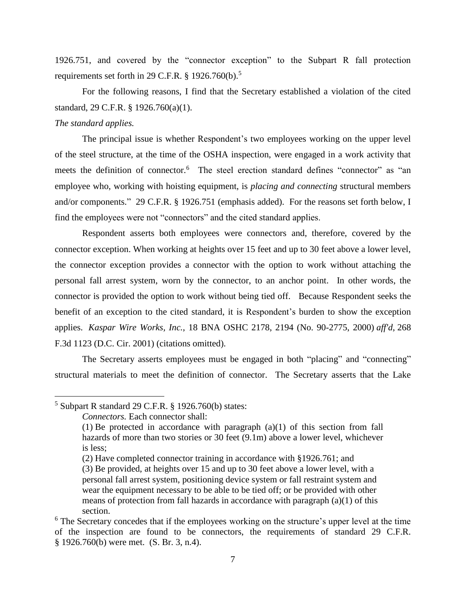1926.751, and covered by the "connector exception" to the Subpart R fall protection requirements set forth in 29 C.F.R.  $\S$  1926.760(b).<sup>5</sup>

For the following reasons, I find that the Secretary established a violation of the cited standard, 29 C.F.R. § 1926.760(a)(1).

## *The standard applies.*

l

The principal issue is whether Respondent's two employees working on the upper level of the steel structure, at the time of the OSHA inspection, were engaged in a work activity that meets the definition of connector.<sup>6</sup> The steel erection standard defines "connector" as "an employee who, working with hoisting equipment, is *placing and connecting* structural members and/or components." 29 C.F.R. § 1926.751 (emphasis added). For the reasons set forth below, I find the employees were not "connectors" and the cited standard applies.

Respondent asserts both employees were connectors and, therefore, covered by the connector exception. When working at heights over 15 feet and up to 30 feet above a lower level, the connector exception provides a connector with the option to work without attaching the personal fall arrest system, worn by the connector, to an anchor point. In other words, the connector is provided the option to work without being tied off. Because Respondent seeks the benefit of an exception to the cited standard, it is Respondent's burden to show the exception applies. *Kaspar Wire Works, Inc.*, 18 BNA OSHC 2178, 2194 (No. 90-2775, 2000) *aff'd*, 268 F.3d 1123 (D.C. Cir. 2001) (citations omitted).

The Secretary asserts employees must be engaged in both "placing" and "connecting" structural materials to meet the definition of connector. The Secretary asserts that the Lake

 $5$  Subpart R standard 29 C.F.R. § 1926.760(b) states:

*Connectors.* Each connector shall:

<sup>(1)</sup> Be protected in accordance with paragraph  $(a)(1)$  of this section from fall hazards of more than two stories or 30 feet (9.1m) above a lower level, whichever is less;

<sup>(2)</sup> Have completed connector training in accordance with §1926.761; and

<sup>(3)</sup> Be provided, at heights over 15 and up to 30 feet above a lower level, with a personal fall arrest system, positioning device system or fall restraint system and wear the equipment necessary to be able to be tied off; or be provided with other means of protection from fall hazards in accordance with paragraph (a)(1) of this section.

<sup>&</sup>lt;sup>6</sup> The Secretary concedes that if the employees working on the structure's upper level at the time of the inspection are found to be connectors, the requirements of standard 29 C.F.R. § 1926.760(b) were met. (S. Br. 3, n.4).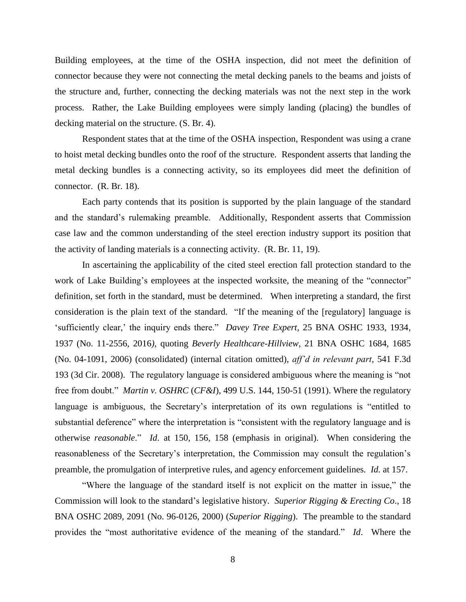Building employees, at the time of the OSHA inspection, did not meet the definition of connector because they were not connecting the metal decking panels to the beams and joists of the structure and, further, connecting the decking materials was not the next step in the work process. Rather, the Lake Building employees were simply landing (placing) the bundles of decking material on the structure. (S. Br. 4).

Respondent states that at the time of the OSHA inspection, Respondent was using a crane to hoist metal decking bundles onto the roof of the structure. Respondent asserts that landing the metal decking bundles is a connecting activity, so its employees did meet the definition of connector. (R. Br. 18).

Each party contends that its position is supported by the plain language of the standard and the standard's rulemaking preamble. Additionally, Respondent asserts that Commission case law and the common understanding of the steel erection industry support its position that the activity of landing materials is a connecting activity. (R. Br. 11, 19).

In ascertaining the applicability of the cited steel erection fall protection standard to the work of Lake Building's employees at the inspected worksite, the meaning of the "connector" definition, set forth in the standard, must be determined. When interpreting a standard, the first consideration is the plain text of the standard. "If the meaning of the [regulatory] language is 'sufficiently clear,' the inquiry ends there." *Davey Tree Expert*, 25 BNA OSHC 1933, 1934, 1937 (No. 11-2556, 2016*),* quoting *Beverly Healthcare-Hillview,* 21 BNA OSHC 1684, 1685 (No. 04-1091, 2006) (consolidated) (internal citation omitted), *aff'd in relevant part*, 541 F.3d 193 (3d Cir. 2008). The regulatory language is considered ambiguous where the meaning is "not free from doubt." *Martin v. OSHRC* (*CF&I*), 499 U.S. 144, 150-51 (1991). Where the regulatory language is ambiguous, the Secretary's interpretation of its own regulations is "entitled to substantial deference" where the interpretation is "consistent with the regulatory language and is otherwise *reasonable*." *Id*. at 150, 156, 158 (emphasis in original). When considering the reasonableness of the Secretary's interpretation, the Commission may consult the regulation's preamble, the promulgation of interpretive rules, and agency enforcement guidelines*. Id.* at 157.

"Where the language of the standard itself is not explicit on the matter in issue," the Commission will look to the standard's legislative history. *Superior Rigging & Erecting Co*., 18 BNA OSHC 2089, 2091 (No. 96-0126, 2000) (*Superior Rigging*). The preamble to the standard provides the "most authoritative evidence of the meaning of the standard." *Id*. Where the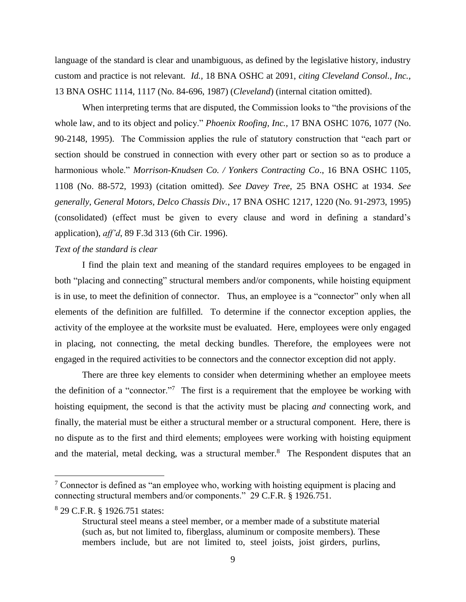language of the standard is clear and unambiguous, as defined by the legislative history, industry custom and practice is not relevant*. Id.,* 18 BNA OSHC at 2091, *citing Cleveland Consol., Inc.,* 13 BNA OSHC 1114, 1117 (No. 84-696, 1987) (*Cleveland*) (internal citation omitted).

When interpreting terms that are disputed, the Commission looks to "the provisions of the whole law, and to its object and policy." *Phoenix Roofing, Inc.,* 17 BNA OSHC 1076, 1077 (No. 90-2148, 1995). The Commission applies the rule of statutory construction that "each part or section should be construed in connection with every other part or section so as to produce a harmonious whole." *Morrison-Knudsen Co. / Yonkers Contracting Co*., 16 BNA OSHC 1105, 1108 (No. 88-572, 1993) (citation omitted). *See Davey Tree*, 25 BNA OSHC at 1934. *See generally, General Motors, Delco Chassis Div.*, 17 BNA OSHC 1217, 1220 (No. 91-2973, 1995) (consolidated) (effect must be given to every clause and word in defining a standard's application), *aff'd*, 89 F.3d 313 (6th Cir. 1996).

## *Text of the standard is clear*

I find the plain text and meaning of the standard requires employees to be engaged in both "placing and connecting" structural members and/or components, while hoisting equipment is in use, to meet the definition of connector. Thus, an employee is a "connector" only when all elements of the definition are fulfilled. To determine if the connector exception applies, the activity of the employee at the worksite must be evaluated. Here, employees were only engaged in placing, not connecting, the metal decking bundles. Therefore, the employees were not engaged in the required activities to be connectors and the connector exception did not apply.

There are three key elements to consider when determining whether an employee meets the definition of a "connector."<sup>7</sup> The first is a requirement that the employee be working with hoisting equipment, the second is that the activity must be placing *and* connecting work, and finally, the material must be either a structural member or a structural component. Here, there is no dispute as to the first and third elements; employees were working with hoisting equipment and the material, metal decking, was a structural member. $8$  The Respondent disputes that an

8 29 C.F.R. § 1926.751 states:

 $\frac{7}{1}$  Connector is defined as "an employee who, working with hoisting equipment is placing and connecting structural members and/or components." 29 C.F.R. § 1926.751.

Structural steel means a steel member, or a member made of a substitute material (such as, but not limited to, fiberglass, aluminum or composite members). These members include, but are not limited to, steel joists, joist girders, purlins,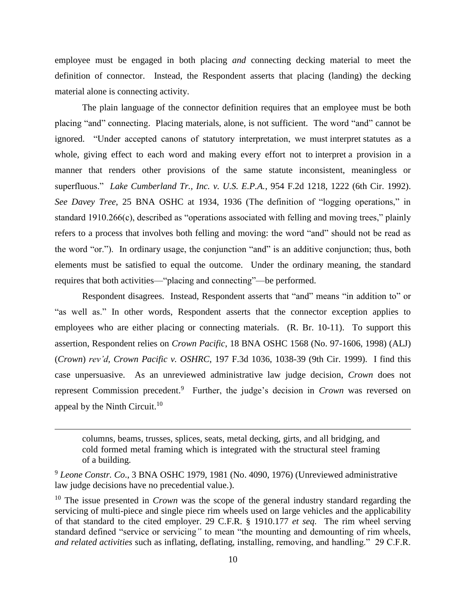employee must be engaged in both placing *and* connecting decking material to meet the definition of connector. Instead, the Respondent asserts that placing (landing) the decking material alone is connecting activity.

The plain language of the connector definition requires that an employee must be both placing "and" connecting. Placing materials, alone, is not sufficient. The word "and" cannot be ignored. "Under accepted canons of statutory interpretation, we must interpret statutes as a whole, giving effect to each word and making every effort not to interpret a provision in a manner that renders other provisions of the same statute inconsistent, meaningless or superfluous." *Lake Cumberland Tr., Inc. v. U.S. E.P.A.*, 954 F.2d 1218, 1222 (6th Cir. 1992). *See Davey Tree*, 25 BNA OSHC at 1934, 1936 (The definition of "logging operations," in standard 1910.266(c), described as "operations associated with felling and moving trees," plainly refers to a process that involves both felling and moving: the word "and" should not be read as the word "or."). In ordinary usage, the conjunction "and" is an additive conjunction; thus, both elements must be satisfied to equal the outcome. Under the ordinary meaning, the standard requires that both activities—"placing and connecting"—be performed.

Respondent disagrees. Instead, Respondent asserts that "and" means "in addition to" or "as well as." In other words, Respondent asserts that the connector exception applies to employees who are either placing or connecting materials. (R. Br. 10-11). To support this assertion, Respondent relies on *Crown Pacific*, 18 BNA OSHC 1568 (No. 97-1606, 1998) (ALJ) (*Crown*) *rev'd, Crown Pacific v. OSHRC*, 197 F.3d 1036, 1038-39 (9th Cir. 1999). I find this case unpersuasive. As an unreviewed administrative law judge decision, *Crown* does not represent Commission precedent. 9 Further, the judge's decision in *Crown* was reversed on appeal by the Ninth Circuit. $10$ 

columns, beams, trusses, splices, seats, metal decking, girts, and all bridging, and cold formed metal framing which is integrated with the structural steel framing of a building.

<sup>9</sup> *Leone Constr. Co*., 3 BNA OSHC 1979, 1981 (No. 4090, 1976) (Unreviewed administrative law judge decisions have no precedential value.).

<sup>&</sup>lt;sup>10</sup> The issue presented in *Crown* was the scope of the general industry standard regarding the servicing of multi-piece and single piece rim wheels used on large vehicles and the applicability of that standard to the cited employer. 29 C.F.R. § 1910.177 *et seq.* The rim wheel serving standard defined "service or servicing*"* to mean "the mounting and demounting of rim wheels, *and related activities* such as inflating, deflating, installing, removing, and handling." 29 C.F.R.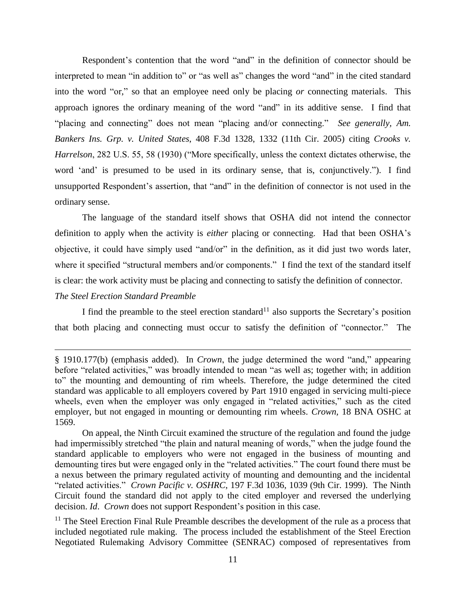Respondent's contention that the word "and" in the definition of connector should be interpreted to mean "in addition to" or "as well as" changes the word "and" in the cited standard into the word "or," so that an employee need only be placing *or* connecting materials. This approach ignores the ordinary meaning of the word "and" in its additive sense. I find that "placing and connecting" does not mean "placing and/or connecting." *See generally, Am. Bankers Ins. Grp. v. United States*, 408 F.3d 1328, 1332 (11th Cir. 2005) citing *Crooks v. Harrelson*, 282 U.S. 55, 58 (1930) ("More specifically, unless the context dictates otherwise, the word 'and' is presumed to be used in its ordinary sense, that is, conjunctively."). I find unsupported Respondent's assertion, that "and" in the definition of connector is not used in the ordinary sense.

The language of the standard itself shows that OSHA did not intend the connector definition to apply when the activity is *either* placing or connecting. Had that been OSHA's objective, it could have simply used "and/or" in the definition, as it did just two words later, where it specified "structural members and/or components." I find the text of the standard itself is clear: the work activity must be placing and connecting to satisfy the definition of connector.

## *The Steel Erection Standard Preamble*

 $\overline{a}$ 

I find the preamble to the steel erection standard<sup>11</sup> also supports the Secretary's position that both placing and connecting must occur to satisfy the definition of "connector." The

<sup>§</sup> 1910.177(b) (emphasis added). In *Crown*, the judge determined the word "and," appearing before "related activities," was broadly intended to mean "as well as; together with; in addition to" the mounting and demounting of rim wheels. Therefore, the judge determined the cited standard was applicable to all employers covered by Part 1910 engaged in servicing multi-piece wheels, even when the employer was only engaged in "related activities," such as the cited employer, but not engaged in mounting or demounting rim wheels. *Crown,* 18 BNA OSHC at 1569.

On appeal, the Ninth Circuit examined the structure of the regulation and found the judge had impermissibly stretched "the plain and natural meaning of words," when the judge found the standard applicable to employers who were not engaged in the business of mounting and demounting tires but were engaged only in the "related activities." The court found there must be a nexus between the primary regulated activity of mounting and demounting and the incidental "related activities." *Crown Pacific v. OSHRC*, 197 F.3d 1036, 1039 (9th Cir. 1999). The Ninth Circuit found the standard did not apply to the cited employer and reversed the underlying decision. *Id*. *Crown* does not support Respondent's position in this case.

 $11$  The Steel Erection Final Rule Preamble describes the development of the rule as a process that included negotiated rule making. The process included the establishment of the Steel Erection Negotiated Rulemaking Advisory Committee (SENRAC) composed of representatives from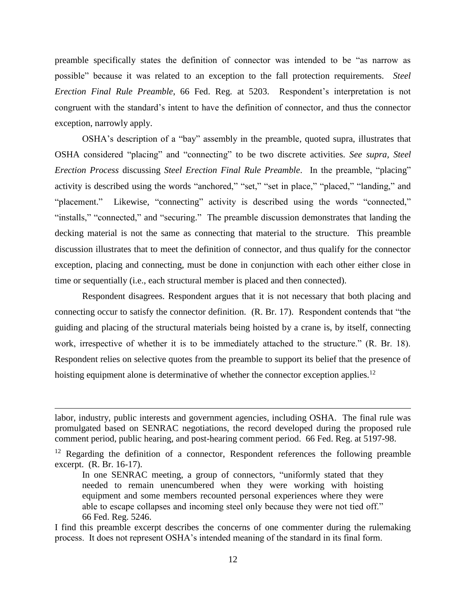preamble specifically states the definition of connector was intended to be "as narrow as possible" because it was related to an exception to the fall protection requirements. *Steel Erection Final Rule Preamble*, 66 Fed. Reg. at 5203. Respondent's interpretation is not congruent with the standard's intent to have the definition of connector, and thus the connector exception, narrowly apply.

OSHA's description of a "bay" assembly in the preamble, quoted supra, illustrates that OSHA considered "placing" and "connecting" to be two discrete activities. *See supra, Steel Erection Process* discussing *Steel Erection Final Rule Preamble*. In the preamble, "placing" activity is described using the words "anchored," "set," "set in place," "placed," "landing," and "placement." Likewise, "connecting" activity is described using the words "connected," "installs," "connected," and "securing." The preamble discussion demonstrates that landing the decking material is not the same as connecting that material to the structure. This preamble discussion illustrates that to meet the definition of connector, and thus qualify for the connector exception, placing and connecting, must be done in conjunction with each other either close in time or sequentially (i.e., each structural member is placed and then connected).

Respondent disagrees. Respondent argues that it is not necessary that both placing and connecting occur to satisfy the connector definition. (R. Br. 17). Respondent contends that "the guiding and placing of the structural materials being hoisted by a crane is, by itself, connecting work, irrespective of whether it is to be immediately attached to the structure." (R. Br. 18). Respondent relies on selective quotes from the preamble to support its belief that the presence of hoisting equipment alone is determinative of whether the connector exception applies.<sup>12</sup>

 $\overline{a}$ 

labor, industry, public interests and government agencies, including OSHA. The final rule was promulgated based on SENRAC negotiations, the record developed during the proposed rule comment period, public hearing, and post-hearing comment period. 66 Fed. Reg. at 5197-98.

<sup>&</sup>lt;sup>12</sup> Regarding the definition of a connector, Respondent references the following preamble excerpt. (R. Br. 16-17).

In one SENRAC meeting, a group of connectors, "uniformly stated that they needed to remain unencumbered when they were working with hoisting equipment and some members recounted personal experiences where they were able to escape collapses and incoming steel only because they were not tied off." 66 Fed. Reg. 5246.

I find this preamble excerpt describes the concerns of one commenter during the rulemaking process. It does not represent OSHA's intended meaning of the standard in its final form.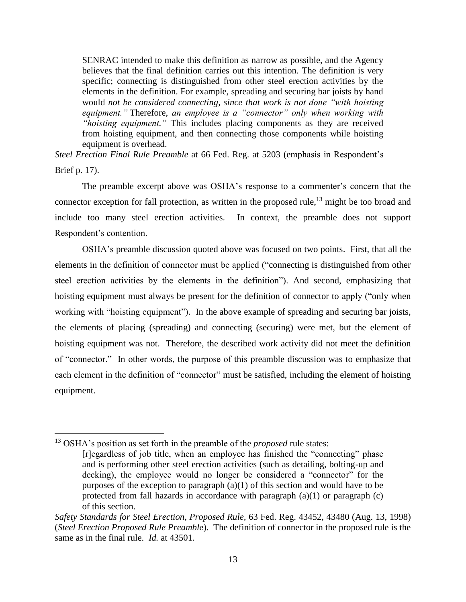SENRAC intended to make this definition as narrow as possible, and the Agency believes that the final definition carries out this intention. The definition is very specific; connecting is distinguished from other steel erection activities by the elements in the definition. For example, spreading and securing bar joists by hand would *not be considered connecting, since that work is not done "with hoisting equipment."* Therefore, *an employee is a "connector" only when working with "hoisting equipment."* This includes placing components as they are received from hoisting equipment, and then connecting those components while hoisting equipment is overhead.

*Steel Erection Final Rule Preamble* at 66 Fed. Reg. at 5203 (emphasis in Respondent's Brief p. 17).

The preamble excerpt above was OSHA's response to a commenter's concern that the connector exception for fall protection, as written in the proposed rule, $^{13}$  might be too broad and include too many steel erection activities. In context, the preamble does not support Respondent's contention.

OSHA's preamble discussion quoted above was focused on two points. First, that all the elements in the definition of connector must be applied ("connecting is distinguished from other steel erection activities by the elements in the definition"). And second, emphasizing that hoisting equipment must always be present for the definition of connector to apply ("only when working with "hoisting equipment"). In the above example of spreading and securing bar joists, the elements of placing (spreading) and connecting (securing) were met, but the element of hoisting equipment was not. Therefore, the described work activity did not meet the definition of "connector." In other words, the purpose of this preamble discussion was to emphasize that each element in the definition of "connector" must be satisfied, including the element of hoisting equipment.

<sup>13</sup> OSHA's position as set forth in the preamble of the *proposed* rule states: [r]egardless of job title, when an employee has finished the "connecting" phase and is performing other steel erection activities (such as detailing, bolting-up and decking), the employee would no longer be considered a "connector" for the purposes of the exception to paragraph  $(a)(1)$  of this section and would have to be protected from fall hazards in accordance with paragraph (a)(1) or paragraph (c) of this section.

*Safety Standards for Steel Erection*, *Proposed Rule,* 63 Fed. Reg. 43452, 43480 (Aug. 13, 1998) (*Steel Erection Proposed Rule Preamble*). The definition of connector in the proposed rule is the same as in the final rule. *Id.* at 43501*.*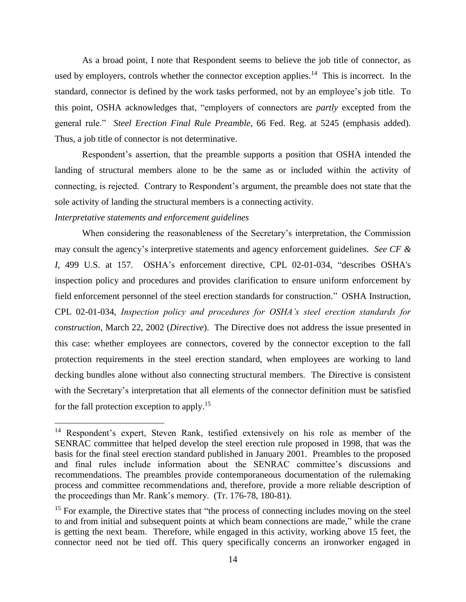As a broad point, I note that Respondent seems to believe the job title of connector, as used by employers, controls whether the connector exception applies.<sup>14</sup> This is incorrect. In the standard, connector is defined by the work tasks performed, not by an employee's job title. To this point, OSHA acknowledges that, "employers of connectors are *partly* excepted from the general rule." *Steel Erection Final Rule Preamble*, 66 Fed. Reg. at 5245 (emphasis added)*.* Thus, a job title of connector is not determinative.

Respondent's assertion, that the preamble supports a position that OSHA intended the landing of structural members alone to be the same as or included within the activity of connecting, is rejected. Contrary to Respondent's argument, the preamble does not state that the sole activity of landing the structural members is a connecting activity.

### *Interpretative statements and enforcement guidelines*

 $\overline{\phantom{a}}$ 

When considering the reasonableness of the Secretary's interpretation, the Commission may consult the agency's interpretive statements and agency enforcement guidelines. *See CF & I,* 499 U.S. at 157. OSHA's enforcement directive, CPL 02-01-034, "describes OSHA's inspection policy and procedures and provides clarification to ensure uniform enforcement by field enforcement personnel of the steel erection standards for construction." OSHA Instruction, CPL 02-01-034, *Inspection policy and procedures for OSHA's steel erection standards for construction*, March 22, 2002 (*Directive*). The Directive does not address the issue presented in this case: whether employees are connectors, covered by the connector exception to the fall protection requirements in the steel erection standard, when employees are working to land decking bundles alone without also connecting structural members. The Directive is consistent with the Secretary's interpretation that all elements of the connector definition must be satisfied for the fall protection exception to apply.<sup>15</sup>

<sup>&</sup>lt;sup>14</sup> Respondent's expert, Steven Rank, testified extensively on his role as member of the SENRAC committee that helped develop the steel erection rule proposed in 1998, that was the basis for the final steel erection standard published in January 2001. Preambles to the proposed and final rules include information about the SENRAC committee's discussions and recommendations. The preambles provide contemporaneous documentation of the rulemaking process and committee recommendations and, therefore, provide a more reliable description of the proceedings than Mr. Rank's memory. (Tr. 176-78, 180-81).

<sup>&</sup>lt;sup>15</sup> For example, the Directive states that "the process of connecting includes moving on the steel to and from initial and subsequent points at which beam connections are made," while the crane is getting the next beam. Therefore, while engaged in this activity, working above 15 feet, the connector need not be tied off. This query specifically concerns an ironworker engaged in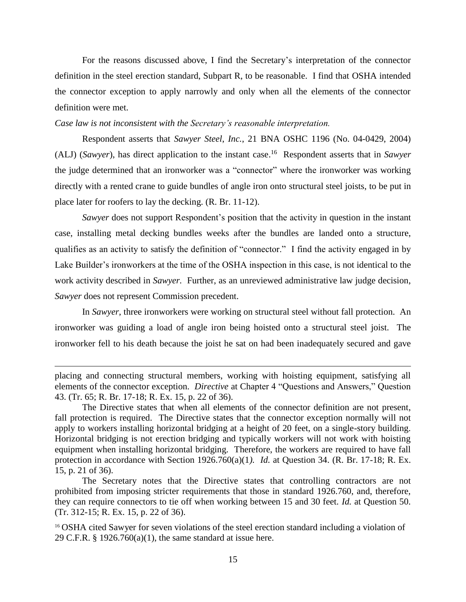For the reasons discussed above, I find the Secretary's interpretation of the connector definition in the steel erection standard, Subpart R, to be reasonable. I find that OSHA intended the connector exception to apply narrowly and only when all the elements of the connector definition were met.

## *Case law is not inconsistent with the Secretary's reasonable interpretation.*

Respondent asserts that *Sawyer Steel*, *Inc.*, 21 BNA OSHC 1196 (No. 04-0429, 2004) (ALJ) (*Sawyer*), has direct application to the instant case. 16 Respondent asserts that in *Sawyer* the judge determined that an ironworker was a "connector" where the ironworker was working directly with a rented crane to guide bundles of angle iron onto structural steel joists, to be put in place later for roofers to lay the decking. (R. Br. 11-12).

*Sawyer* does not support Respondent's position that the activity in question in the instant case, installing metal decking bundles weeks after the bundles are landed onto a structure, qualifies as an activity to satisfy the definition of "connector." I find the activity engaged in by Lake Builder's ironworkers at the time of the OSHA inspection in this case, is not identical to the work activity described in *Sawyer.* Further, as an unreviewed administrative law judge decision, *Sawyer* does not represent Commission precedent.

In *Sawyer*, three ironworkers were working on structural steel without fall protection. An ironworker was guiding a load of angle iron being hoisted onto a structural steel joist. The ironworker fell to his death because the joist he sat on had been inadequately secured and gave

placing and connecting structural members, working with hoisting equipment, satisfying all elements of the connector exception. *Directive* at Chapter 4 "Questions and Answers," Question 43. (Tr. 65; R. Br. 17-18; R. Ex. 15, p. 22 of 36).

The Directive states that when all elements of the connector definition are not present, fall protection is required. The Directive states that the connector exception normally will not apply to workers installing horizontal bridging at a height of 20 feet, on a single-story building. Horizontal bridging is not erection bridging and typically workers will not work with hoisting equipment when installing horizontal bridging. Therefore, the workers are required to have fall protection in accordance with Section 1926.760(a)(1*). Id.* at Question 34. (R. Br. 17-18; R. Ex. 15, p. 21 of 36).

The Secretary notes that the Directive states that controlling contractors are not prohibited from imposing stricter requirements that those in standard 1926.760, and, therefore, they can require connectors to tie off when working between 15 and 30 feet. *Id.* at Question 50. (Tr. 312-15; R. Ex. 15, p. 22 of 36).

<sup>&</sup>lt;sup>16</sup> OSHA cited Sawyer for seven violations of the steel erection standard including a violation of 29 C.F.R. § 1926.760(a)(1), the same standard at issue here.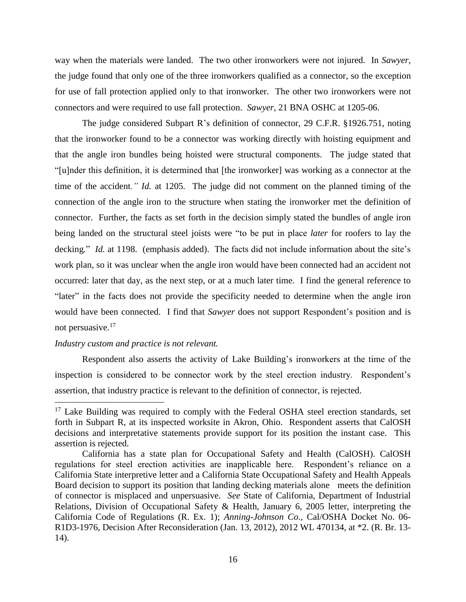way when the materials were landed. The two other ironworkers were not injured. In *Sawyer*, the judge found that only one of the three ironworkers qualified as a connector, so the exception for use of fall protection applied only to that ironworker. The other two ironworkers were not connectors and were required to use fall protection. *Sawyer*, 21 BNA OSHC at 1205-06.

The judge considered Subpart R's definition of connector, 29 C.F.R. §1926.751, noting that the ironworker found to be a connector was working directly with hoisting equipment and that the angle iron bundles being hoisted were structural components. The judge stated that "[u]nder this definition, it is determined that [the ironworker] was working as a connector at the time of the accident*." Id.* at 1205*.* The judge did not comment on the planned timing of the connection of the angle iron to the structure when stating the ironworker met the definition of connector. Further, the facts as set forth in the decision simply stated the bundles of angle iron being landed on the structural steel joists were "to be put in place *later* for roofers to lay the decking*.*" *Id.* at 1198. (emphasis added). The facts did not include information about the site's work plan, so it was unclear when the angle iron would have been connected had an accident not occurred: later that day, as the next step, or at a much later time. I find the general reference to "later" in the facts does not provide the specificity needed to determine when the angle iron would have been connected. I find that *Sawyer* does not support Respondent's position and is not persuasive.<sup>17</sup>

## *Industry custom and practice is not relevant.*

 $\overline{a}$ 

Respondent also asserts the activity of Lake Building's ironworkers at the time of the inspection is considered to be connector work by the steel erection industry. Respondent's assertion, that industry practice is relevant to the definition of connector, is rejected.

 $17$  Lake Building was required to comply with the Federal OSHA steel erection standards, set forth in Subpart R, at its inspected worksite in Akron, Ohio. Respondent asserts that CalOSH decisions and interpretative statements provide support for its position the instant case. This assertion is rejected.

California has a state plan for Occupational Safety and Health (CalOSH). CalOSH regulations for steel erection activities are inapplicable here. Respondent's reliance on a California State interpretive letter and a California State Occupational Safety and Health Appeals Board decision to support its position that landing decking materials alone meets the definition of connector is misplaced and unpersuasive. *See* State of California, Department of Industrial Relations, Division of Occupational Safety & Health, January 6, 2005 letter, interpreting the California Code of Regulations (R. Ex. 1); *Anning-Johnson Co.,* Cal/OSHA Docket No. 06- R1D3-1976, Decision After Reconsideration (Jan. 13, 2012), 2012 WL 470134, at \*2. (R. Br. 13- 14).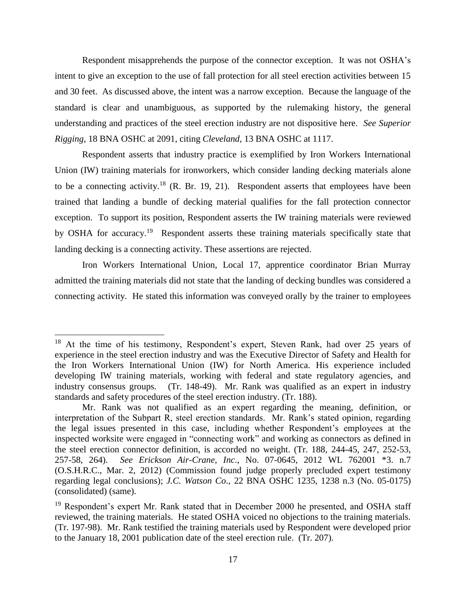Respondent misapprehends the purpose of the connector exception. It was not OSHA's intent to give an exception to the use of fall protection for all steel erection activities between 15 and 30 feet. As discussed above, the intent was a narrow exception. Because the language of the standard is clear and unambiguous, as supported by the rulemaking history, the general understanding and practices of the steel erection industry are not dispositive here. *See Superior Rigging*, 18 BNA OSHC at 2091, citing *Cleveland,* 13 BNA OSHC at 1117.

Respondent asserts that industry practice is exemplified by Iron Workers International Union (IW) training materials for ironworkers, which consider landing decking materials alone to be a connecting activity.<sup>18</sup> (R. Br. 19, 21). Respondent asserts that employees have been trained that landing a bundle of decking material qualifies for the fall protection connector exception. To support its position, Respondent asserts the IW training materials were reviewed by OSHA for accuracy.<sup>19</sup> Respondent asserts these training materials specifically state that landing decking is a connecting activity. These assertions are rejected.

Iron Workers International Union, Local 17, apprentice coordinator Brian Murray admitted the training materials did not state that the landing of decking bundles was considered a connecting activity. He stated this information was conveyed orally by the trainer to employees

l

<sup>&</sup>lt;sup>18</sup> At the time of his testimony, Respondent's expert, Steven Rank, had over 25 years of experience in the steel erection industry and was the Executive Director of Safety and Health for the Iron Workers International Union (IW) for North America. His experience included developing IW training materials, working with federal and state regulatory agencies, and industry consensus groups. (Tr. 148-49). Mr. Rank was qualified as an expert in industry standards and safety procedures of the steel erection industry. (Tr. 188).

Mr. Rank was not qualified as an expert regarding the meaning, definition, or interpretation of the Subpart R, steel erection standards. Mr. Rank's stated opinion, regarding the legal issues presented in this case, including whether Respondent's employees at the inspected worksite were engaged in "connecting work" and working as connectors as defined in the steel erection connector definition, is accorded no weight. (Tr. 188, 244-45, 247, 252-53, 257-58, 264). *See Erickson Air-Crane, Inc*., No. 07-0645, 2012 WL 762001 \*3. n.7 (O.S.H.R.C., Mar. 2, 2012) (Commission found judge properly precluded expert testimony regarding legal conclusions); *J.C. Watson Co*., 22 BNA OSHC 1235, 1238 n.3 (No. 05-0175) (consolidated) (same).

 $19$  Respondent's expert Mr. Rank stated that in December 2000 he presented, and OSHA staff reviewed, the training materials. He stated OSHA voiced no objections to the training materials. (Tr. 197-98). Mr. Rank testified the training materials used by Respondent were developed prior to the January 18, 2001 publication date of the steel erection rule. (Tr. 207).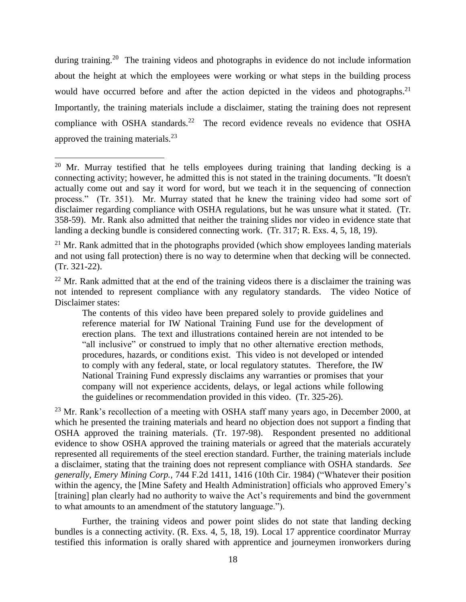during training.<sup>20</sup> The training videos and photographs in evidence do not include information about the height at which the employees were working or what steps in the building process would have occurred before and after the action depicted in the videos and photographs.<sup>21</sup> Importantly, the training materials include a disclaimer, stating the training does not represent compliance with OSHA standards.<sup>22</sup> The record evidence reveals no evidence that OSHA approved the training materials. $^{23}$ 

l

<sup>&</sup>lt;sup>20</sup> Mr. Murray testified that he tells employees during training that landing decking is a connecting activity; however, he admitted this is not stated in the training documents. "It doesn't actually come out and say it word for word, but we teach it in the sequencing of connection process." (Tr. 351). Mr. Murray stated that he knew the training video had some sort of disclaimer regarding compliance with OSHA regulations, but he was unsure what it stated. (Tr. 358-59). Mr. Rank also admitted that neither the training slides nor video in evidence state that landing a decking bundle is considered connecting work. (Tr. 317; R. Exs. 4, 5, 18, 19).

 $21$  Mr. Rank admitted that in the photographs provided (which show employees landing materials and not using fall protection) there is no way to determine when that decking will be connected. (Tr. 321-22).

 $22$  Mr. Rank admitted that at the end of the training videos there is a disclaimer the training was not intended to represent compliance with any regulatory standards. The video Notice of Disclaimer states:

The contents of this video have been prepared solely to provide guidelines and reference material for IW National Training Fund use for the development of erection plans. The text and illustrations contained herein are not intended to be "all inclusive" or construed to imply that no other alternative erection methods, procedures, hazards, or conditions exist. This video is not developed or intended to comply with any federal, state, or local regulatory statutes. Therefore, the IW National Training Fund expressly disclaims any warranties or promises that your company will not experience accidents, delays, or legal actions while following the guidelines or recommendation provided in this video. (Tr. 325-26).

 $23$  Mr. Rank's recollection of a meeting with OSHA staff many years ago, in December 2000, at which he presented the training materials and heard no objection does not support a finding that OSHA approved the training materials. (Tr. 197-98). Respondent presented no additional evidence to show OSHA approved the training materials or agreed that the materials accurately represented all requirements of the steel erection standard. Further, the training materials include a disclaimer, stating that the training does not represent compliance with OSHA standards. *See generally, Emery Mining Corp.,* 744 F.2d 1411, 1416 (10th Cir. 1984) ("Whatever their position within the agency, the [Mine Safety and Health Administration] officials who approved Emery's [training] plan clearly had no authority to waive the Act's requirements and bind the government to what amounts to an amendment of the statutory language.").

Further, the training videos and power point slides do not state that landing decking bundles is a connecting activity. (R. Exs. 4, 5, 18, 19). Local 17 apprentice coordinator Murray testified this information is orally shared with apprentice and journeymen ironworkers during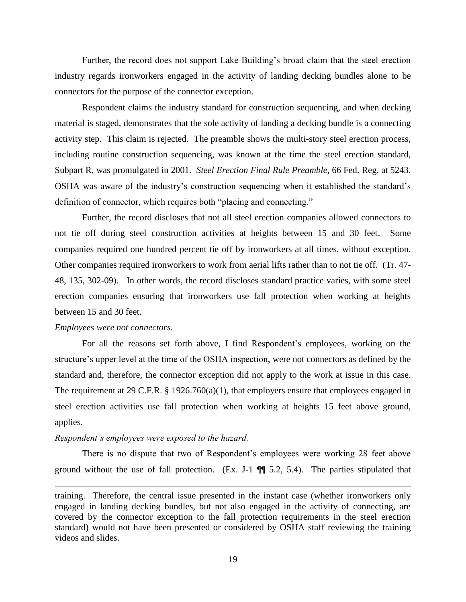Further, the record does not support Lake Building's broad claim that the steel erection industry regards ironworkers engaged in the activity of landing decking bundles alone to be connectors for the purpose of the connector exception.

Respondent claims the industry standard for construction sequencing, and when decking material is staged, demonstrates that the sole activity of landing a decking bundle is a connecting activity step. This claim is rejected. The preamble shows the multi-story steel erection process, including routine construction sequencing, was known at the time the steel erection standard, Subpart R, was promulgated in 2001. *Steel Erection Final Rule Preamble,* 66 Fed. Reg. at 5243. OSHA was aware of the industry's construction sequencing when it established the standard's definition of connector, which requires both "placing and connecting."

Further, the record discloses that not all steel erection companies allowed connectors to not tie off during steel construction activities at heights between 15 and 30 feet. Some companies required one hundred percent tie off by ironworkers at all times, without exception. Other companies required ironworkers to work from aerial lifts rather than to not tie off. (Tr. 47- 48, 135, 302-09). In other words, the record discloses standard practice varies, with some steel erection companies ensuring that ironworkers use fall protection when working at heights between 15 and 30 feet.

### *Employees were not connectors.*

 $\overline{\phantom{a}}$ 

For all the reasons set forth above, I find Respondent's employees, working on the structure's upper level at the time of the OSHA inspection, were not connectors as defined by the standard and, therefore, the connector exception did not apply to the work at issue in this case. The requirement at 29 C.F.R. § 1926.760(a)(1), that employers ensure that employees engaged in steel erection activities use fall protection when working at heights 15 feet above ground, applies.

#### *Respondent's employees were exposed to the hazard.*

There is no dispute that two of Respondent's employees were working 28 feet above ground without the use of fall protection. (Ex. J-1  $\P$  5.2, 5.4). The parties stipulated that

training. Therefore, the central issue presented in the instant case (whether ironworkers only engaged in landing decking bundles, but not also engaged in the activity of connecting, are covered by the connector exception to the fall protection requirements in the steel erection standard) would not have been presented or considered by OSHA staff reviewing the training videos and slides.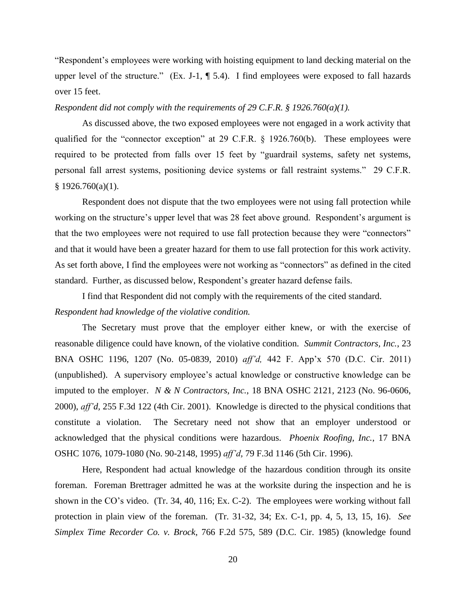"Respondent's employees were working with hoisting equipment to land decking material on the upper level of the structure." (Ex. J-1, ¶ 5.4). I find employees were exposed to fall hazards over 15 feet.

## *Respondent did not comply with the requirements of 29 C.F.R. § 1926.760(a)(1).*

As discussed above, the two exposed employees were not engaged in a work activity that qualified for the "connector exception" at 29 C.F.R. § 1926.760(b). These employees were required to be protected from falls over 15 feet by "guardrail systems, safety net systems, personal fall arrest systems, positioning device systems or fall restraint systems." 29 C.F.R.  $§ 1926.760(a)(1).$ 

Respondent does not dispute that the two employees were not using fall protection while working on the structure's upper level that was 28 feet above ground. Respondent's argument is that the two employees were not required to use fall protection because they were "connectors" and that it would have been a greater hazard for them to use fall protection for this work activity. As set forth above, I find the employees were not working as "connectors" as defined in the cited standard. Further, as discussed below, Respondent's greater hazard defense fails.

I find that Respondent did not comply with the requirements of the cited standard. *Respondent had knowledge of the violative condition.*

The Secretary must prove that the employer either knew, or with the exercise of reasonable diligence could have known, of the violative condition*. Summit Contractors, Inc.*, 23 BNA OSHC 1196, 1207 (No. 05-0839, 2010) *aff'd,* 442 F. App'x 570 (D.C. Cir. 2011) (unpublished). A supervisory employee's actual knowledge or constructive knowledge can be imputed to the employer. *N & N Contractors, Inc.*, 18 BNA OSHC 2121, 2123 (No. 96-0606, 2000), *aff'd,* 255 F.3d 122 (4th Cir. 2001). Knowledge is directed to the physical conditions that constitute a violation. The Secretary need not show that an employer understood or acknowledged that the physical conditions were hazardous. *Phoenix Roofing, Inc.*, 17 BNA OSHC 1076, 1079-1080 (No. 90-2148, 1995) *aff'd,* 79 F.3d 1146 (5th Cir. 1996).

Here, Respondent had actual knowledge of the hazardous condition through its onsite foreman. Foreman Brettrager admitted he was at the worksite during the inspection and he is shown in the CO's video. (Tr. 34, 40, 116; Ex. C-2). The employees were working without fall protection in plain view of the foreman. (Tr. 31-32, 34; Ex. C-1, pp. 4, 5, 13, 15, 16). *See Simplex Time Recorder Co. v. Brock*, 766 F.2d 575, 589 (D.C. Cir. 1985) (knowledge found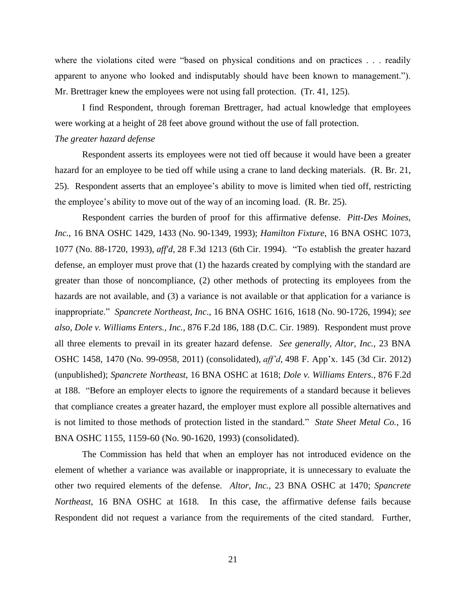where the violations cited were "based on physical conditions and on practices . . . readily apparent to anyone who looked and indisputably should have been known to management."). Mr. Brettrager knew the employees were not using fall protection. (Tr. 41, 125).

I find Respondent, through foreman Brettrager, had actual knowledge that employees were working at a height of 28 feet above ground without the use of fall protection.

## *The greater hazard defense*

Respondent asserts its employees were not tied off because it would have been a greater hazard for an employee to be tied off while using a crane to land decking materials. (R. Br. 21, 25). Respondent asserts that an employee's ability to move is limited when tied off, restricting the employee's ability to move out of the way of an incoming load. (R. Br. 25).

Respondent carries the burden of proof for this affirmative defense. *Pitt-Des Moines, Inc.*, 16 BNA OSHC 1429, 1433 (No. 90-1349, 1993); *Hamilton Fixture*, 16 BNA OSHC 1073, 1077 (No. 88-1720, 1993), *aff'd,* 28 F.3d 1213 (6th Cir. 1994). "To establish the greater hazard defense, an employer must prove that (1) the hazards created by complying with the standard are greater than those of noncompliance, (2) other methods of protecting its employees from the hazards are not available, and (3) a variance is not available or that application for a variance is inappropriate." *Spancrete Northeast, Inc*., 16 BNA OSHC 1616, 1618 (No. 90-1726, 1994); *see also, Dole v. Williams Enters., Inc.,* 876 F.2d 186, 188 (D.C. Cir. 1989). Respondent must prove all three elements to prevail in its greater hazard defense. *See generally, Altor, Inc.,* 23 BNA OSHC 1458, 1470 (No. 99-0958*,* 2011) (consolidated)*, aff'd,* 498 F. App'x. 145 (3d Cir. 2012) (unpublished); *Spancrete Northeast,* 16 BNA OSHC at 1618; *Dole v. Williams Enters.,* 876 F.2d at 188. "Before an employer elects to ignore the requirements of a standard because it believes that compliance creates a greater hazard, the employer must explore all possible alternatives and is not limited to those methods of protection listed in the standard." *State Sheet Metal Co.*, 16 BNA OSHC 1155, 1159-60 (No. 90-1620, 1993) (consolidated).

The Commission has held that when an employer has not introduced evidence on the element of whether a variance was available or inappropriate, it is unnecessary to evaluate the other two required elements of the defense. *Altor, Inc.,* 23 BNA OSHC at 1470; *Spancrete Northeast*, 16 BNA OSHC at 1618. In this case, the affirmative defense fails because Respondent did not request a variance from the requirements of the cited standard. Further,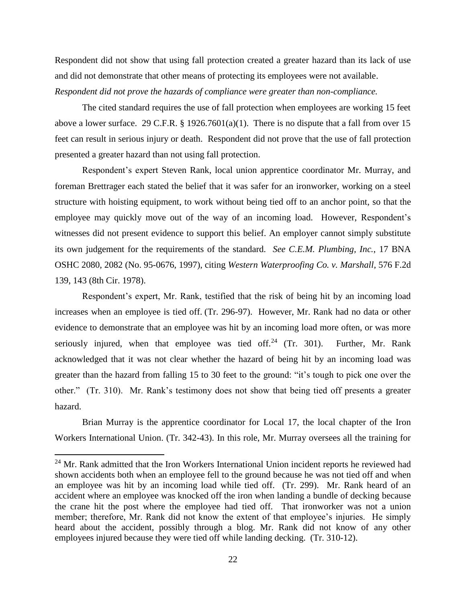Respondent did not show that using fall protection created a greater hazard than its lack of use and did not demonstrate that other means of protecting its employees were not available. *Respondent did not prove the hazards of compliance were greater than non-compliance.*

The cited standard requires the use of fall protection when employees are working 15 feet above a lower surface. 29 C.F.R.  $\S$  1926.7601(a)(1). There is no dispute that a fall from over 15 feet can result in serious injury or death. Respondent did not prove that the use of fall protection presented a greater hazard than not using fall protection.

Respondent's expert Steven Rank, local union apprentice coordinator Mr. Murray, and foreman Brettrager each stated the belief that it was safer for an ironworker, working on a steel structure with hoisting equipment, to work without being tied off to an anchor point, so that the employee may quickly move out of the way of an incoming load. However, Respondent's witnesses did not present evidence to support this belief. An employer cannot simply substitute its own judgement for the requirements of the standard. *See C.E.M. Plumbing, Inc.*, 17 BNA OSHC 2080, 2082 (No. 95-0676, 1997), citing *Western Waterproofing Co. v. Marshall*, 576 F.2d 139, 143 (8th Cir. 1978).

Respondent's expert, Mr. Rank, testified that the risk of being hit by an incoming load increases when an employee is tied off. (Tr. 296-97). However, Mr. Rank had no data or other evidence to demonstrate that an employee was hit by an incoming load more often, or was more seriously injured, when that employee was tied off.<sup>24</sup> (Tr. 301). Further, Mr. Rank acknowledged that it was not clear whether the hazard of being hit by an incoming load was greater than the hazard from falling 15 to 30 feet to the ground: "it's tough to pick one over the other." (Tr. 310). Mr. Rank's testimony does not show that being tied off presents a greater hazard.

Brian Murray is the apprentice coordinator for Local 17, the local chapter of the Iron Workers International Union. (Tr. 342-43). In this role, Mr. Murray oversees all the training for

 $\overline{a}$ 

 $24$  Mr. Rank admitted that the Iron Workers International Union incident reports he reviewed had shown accidents both when an employee fell to the ground because he was not tied off and when an employee was hit by an incoming load while tied off. (Tr. 299). Mr. Rank heard of an accident where an employee was knocked off the iron when landing a bundle of decking because the crane hit the post where the employee had tied off. That ironworker was not a union member; therefore, Mr. Rank did not know the extent of that employee's injuries. He simply heard about the accident, possibly through a blog. Mr. Rank did not know of any other employees injured because they were tied off while landing decking. (Tr. 310-12).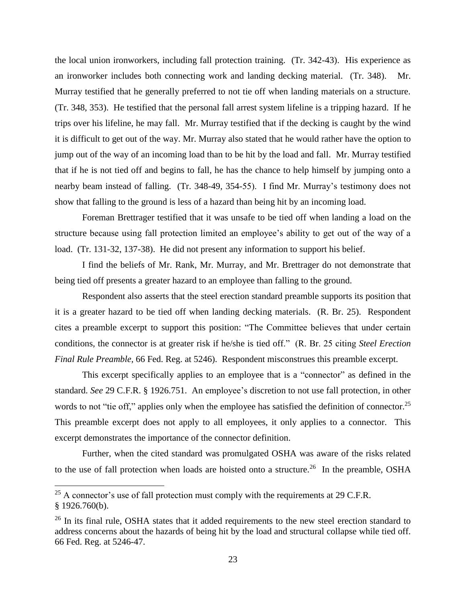the local union ironworkers, including fall protection training. (Tr. 342-43). His experience as an ironworker includes both connecting work and landing decking material. (Tr. 348). Mr. Murray testified that he generally preferred to not tie off when landing materials on a structure. (Tr. 348, 353). He testified that the personal fall arrest system lifeline is a tripping hazard. If he trips over his lifeline, he may fall. Mr. Murray testified that if the decking is caught by the wind it is difficult to get out of the way. Mr. Murray also stated that he would rather have the option to jump out of the way of an incoming load than to be hit by the load and fall. Mr. Murray testified that if he is not tied off and begins to fall, he has the chance to help himself by jumping onto a nearby beam instead of falling. (Tr. 348-49, 354-55). I find Mr. Murray's testimony does not show that falling to the ground is less of a hazard than being hit by an incoming load.

Foreman Brettrager testified that it was unsafe to be tied off when landing a load on the structure because using fall protection limited an employee's ability to get out of the way of a load. (Tr. 131-32, 137-38). He did not present any information to support his belief.

I find the beliefs of Mr. Rank, Mr. Murray, and Mr. Brettrager do not demonstrate that being tied off presents a greater hazard to an employee than falling to the ground.

Respondent also asserts that the steel erection standard preamble supports its position that it is a greater hazard to be tied off when landing decking materials. (R. Br. 25). Respondent cites a preamble excerpt to support this position: "The Committee believes that under certain conditions, the connector is at greater risk if he/she is tied off." (R. Br. 25 citing *Steel Erection Final Rule Preamble,* 66 Fed. Reg. at 5246). Respondent misconstrues this preamble excerpt.

This excerpt specifically applies to an employee that is a "connector" as defined in the standard. *See* 29 C.F.R. § 1926.751. An employee's discretion to not use fall protection, in other words to not "tie off," applies only when the employee has satisfied the definition of connector.<sup>25</sup> This preamble excerpt does not apply to all employees, it only applies to a connector. This excerpt demonstrates the importance of the connector definition.

Further, when the cited standard was promulgated OSHA was aware of the risks related to the use of fall protection when loads are hoisted onto a structure.<sup>26</sup> In the preamble, OSHA

 $25$  A connector's use of fall protection must comply with the requirements at 29 C.F.R. § 1926.760(b).

<sup>&</sup>lt;sup>26</sup> In its final rule, OSHA states that it added requirements to the new steel erection standard to address concerns about the hazards of being hit by the load and structural collapse while tied off. 66 Fed. Reg. at 5246-47.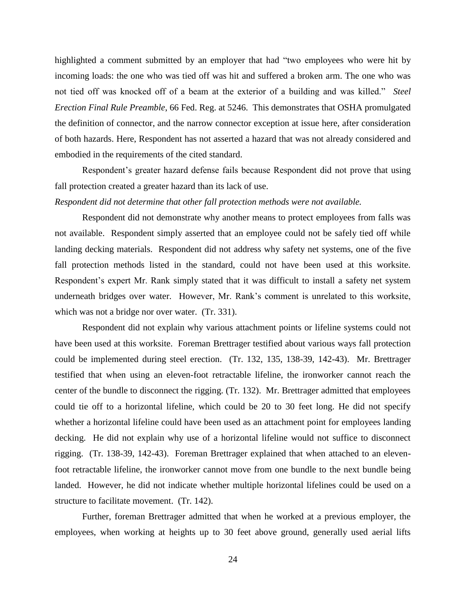highlighted a comment submitted by an employer that had "two employees who were hit by incoming loads: the one who was tied off was hit and suffered a broken arm. The one who was not tied off was knocked off of a beam at the exterior of a building and was killed." *Steel Erection Final Rule Preamble*, 66 Fed. Reg. at 5246. This demonstrates that OSHA promulgated the definition of connector, and the narrow connector exception at issue here, after consideration of both hazards. Here, Respondent has not asserted a hazard that was not already considered and embodied in the requirements of the cited standard.

Respondent's greater hazard defense fails because Respondent did not prove that using fall protection created a greater hazard than its lack of use.

## *Respondent did not determine that other fall protection methods were not available.*

Respondent did not demonstrate why another means to protect employees from falls was not available. Respondent simply asserted that an employee could not be safely tied off while landing decking materials. Respondent did not address why safety net systems, one of the five fall protection methods listed in the standard, could not have been used at this worksite. Respondent's expert Mr. Rank simply stated that it was difficult to install a safety net system underneath bridges over water. However, Mr. Rank's comment is unrelated to this worksite, which was not a bridge nor over water. (Tr. 331).

Respondent did not explain why various attachment points or lifeline systems could not have been used at this worksite. Foreman Brettrager testified about various ways fall protection could be implemented during steel erection. (Tr. 132, 135, 138-39, 142-43). Mr. Brettrager testified that when using an eleven-foot retractable lifeline, the ironworker cannot reach the center of the bundle to disconnect the rigging. (Tr. 132). Mr. Brettrager admitted that employees could tie off to a horizontal lifeline, which could be 20 to 30 feet long. He did not specify whether a horizontal lifeline could have been used as an attachment point for employees landing decking. He did not explain why use of a horizontal lifeline would not suffice to disconnect rigging. (Tr. 138-39, 142-43). Foreman Brettrager explained that when attached to an elevenfoot retractable lifeline, the ironworker cannot move from one bundle to the next bundle being landed. However, he did not indicate whether multiple horizontal lifelines could be used on a structure to facilitate movement. (Tr. 142).

Further, foreman Brettrager admitted that when he worked at a previous employer, the employees, when working at heights up to 30 feet above ground, generally used aerial lifts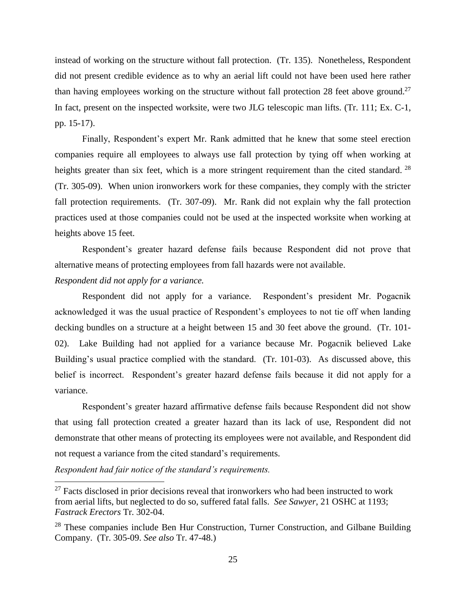instead of working on the structure without fall protection. (Tr. 135). Nonetheless, Respondent did not present credible evidence as to why an aerial lift could not have been used here rather than having employees working on the structure without fall protection 28 feet above ground.<sup>27</sup> In fact, present on the inspected worksite, were two JLG telescopic man lifts. (Tr. 111; Ex. C-1, pp. 15-17).

Finally, Respondent's expert Mr. Rank admitted that he knew that some steel erection companies require all employees to always use fall protection by tying off when working at heights greater than six feet, which is a more stringent requirement than the cited standard. <sup>28</sup> (Tr. 305-09). When union ironworkers work for these companies, they comply with the stricter fall protection requirements. (Tr. 307-09). Mr. Rank did not explain why the fall protection practices used at those companies could not be used at the inspected worksite when working at heights above 15 feet.

Respondent's greater hazard defense fails because Respondent did not prove that alternative means of protecting employees from fall hazards were not available.

## *Respondent did not apply for a variance.*

Respondent did not apply for a variance. Respondent's president Mr. Pogacnik acknowledged it was the usual practice of Respondent's employees to not tie off when landing decking bundles on a structure at a height between 15 and 30 feet above the ground. (Tr. 101- 02). Lake Building had not applied for a variance because Mr. Pogacnik believed Lake Building's usual practice complied with the standard. (Tr. 101-03). As discussed above, this belief is incorrect. Respondent's greater hazard defense fails because it did not apply for a variance.

Respondent's greater hazard affirmative defense fails because Respondent did not show that using fall protection created a greater hazard than its lack of use, Respondent did not demonstrate that other means of protecting its employees were not available, and Respondent did not request a variance from the cited standard's requirements.

*Respondent had fair notice of the standard's requirements.*

 $27$  Facts disclosed in prior decisions reveal that ironworkers who had been instructed to work from aerial lifts, but neglected to do so, suffered fatal falls. *See Sawyer*, 21 OSHC at 1193; *Fastrack Erectors* Tr. 302-04.

<sup>&</sup>lt;sup>28</sup> These companies include Ben Hur Construction, Turner Construction, and Gilbane Building Company. (Tr. 305-09. *See also* Tr. 47-48.)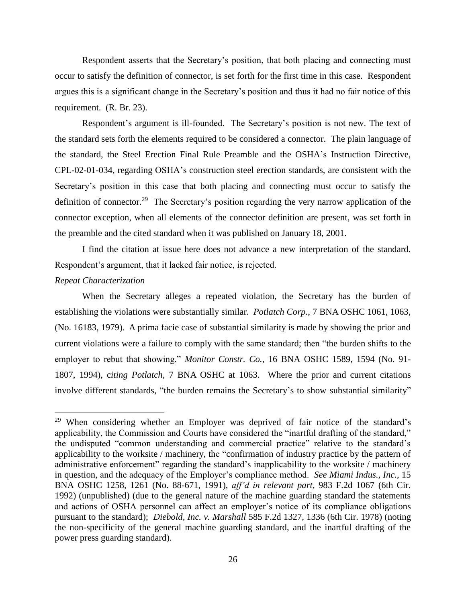Respondent asserts that the Secretary's position, that both placing and connecting must occur to satisfy the definition of connector, is set forth for the first time in this case. Respondent argues this is a significant change in the Secretary's position and thus it had no fair notice of this requirement. (R. Br. 23).

Respondent's argument is ill-founded. The Secretary's position is not new. The text of the standard sets forth the elements required to be considered a connector. The plain language of the standard, the Steel Erection Final Rule Preamble and the OSHA's Instruction Directive, CPL-02-01-034, regarding OSHA's construction steel erection standards, are consistent with the Secretary's position in this case that both placing and connecting must occur to satisfy the definition of connector.<sup>29</sup> The Secretary's position regarding the very narrow application of the connector exception, when all elements of the connector definition are present, was set forth in the preamble and the cited standard when it was published on January 18, 2001.

I find the citation at issue here does not advance a new interpretation of the standard. Respondent's argument, that it lacked fair notice, is rejected.

## *Repeat Characterization*

 $\overline{a}$ 

When the Secretary alleges a repeated violation, the Secretary has the burden of establishing the violations were substantially similar. *Potlatch Corp*., 7 BNA OSHC 1061, 1063, (No. 16183, 1979). A prima facie case of substantial similarity is made by showing the prior and current violations were a failure to comply with the same standard; then "the burden shifts to the employer to rebut that showing." *Monitor Constr. Co.*, 16 BNA OSHC 1589, 1594 (No. 91- 1807, 1994), c*iting Potlatch,* 7 BNA OSHC at 1063. Where the prior and current citations involve different standards, "the burden remains the Secretary's to show substantial similarity"

<sup>&</sup>lt;sup>29</sup> When considering whether an Employer was deprived of fair notice of the standard's applicability, the Commission and Courts have considered the "inartful drafting of the standard," the undisputed "common understanding and commercial practice" relative to the standard's applicability to the worksite / machinery, the "confirmation of industry practice by the pattern of administrative enforcement" regarding the standard's inapplicability to the worksite / machinery in question, and the adequacy of the Employer's compliance method. *See Miami Indus., Inc.*, 15 BNA OSHC 1258, 1261 (No. 88-671, 1991), *aff'd in relevant part,* 983 F.2d 1067 (6th Cir. 1992) (unpublished) (due to the general nature of the machine guarding standard the statements and actions of OSHA personnel can affect an employer's notice of its compliance obligations pursuant to the standard); *Diebold, Inc. v. Marshall* 585 F.2d 1327, 1336 (6th Cir. 1978) (noting the non-specificity of the general machine guarding standard, and the inartful drafting of the power press guarding standard).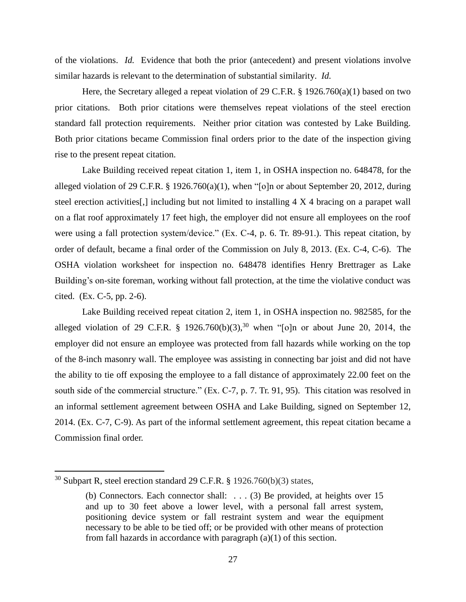of the violations. *Id.* Evidence that both the prior (antecedent) and present violations involve similar hazards is relevant to the determination of substantial similarity. *Id.*

Here, the Secretary alleged a repeat violation of 29 C.F.R. § 1926.760(a)(1) based on two prior citations. Both prior citations were themselves repeat violations of the steel erection standard fall protection requirements. Neither prior citation was contested by Lake Building. Both prior citations became Commission final orders prior to the date of the inspection giving rise to the present repeat citation.

Lake Building received repeat citation 1, item 1, in OSHA inspection no. 648478, for the alleged violation of 29 C.F.R. § 1926.760(a)(1), when "[o]n or about September 20, 2012, during steel erection activities[,] including but not limited to installing 4 X 4 bracing on a parapet wall on a flat roof approximately 17 feet high, the employer did not ensure all employees on the roof were using a fall protection system/device." (Ex. C-4, p. 6. Tr. 89-91.). This repeat citation, by order of default, became a final order of the Commission on July 8, 2013. (Ex. C-4, C-6). The OSHA violation worksheet for inspection no. 648478 identifies Henry Brettrager as Lake Building's on-site foreman, working without fall protection, at the time the violative conduct was cited. (Ex. C-5, pp. 2-6).

Lake Building received repeat citation 2, item 1, in OSHA inspection no. 982585, for the alleged violation of 29 C.F.R. § 1926.760(b)(3),<sup>30</sup> when "[o]n or about June 20, 2014, the employer did not ensure an employee was protected from fall hazards while working on the top of the 8-inch masonry wall. The employee was assisting in connecting bar joist and did not have the ability to tie off exposing the employee to a fall distance of approximately 22.00 feet on the south side of the commercial structure." (Ex. C-7, p. 7. Tr. 91, 95). This citation was resolved in an informal settlement agreement between OSHA and Lake Building, signed on September 12, 2014. (Ex. C-7, C-9). As part of the informal settlement agreement, this repeat citation became a Commission final order.

 $30$  Subpart R, steel erection standard 29 C.F.R. § 1926.760(b)(3) states,

<sup>(</sup>b) Connectors. Each connector shall: . . . (3) Be provided, at heights over 15 and up to 30 feet above a lower level, with a personal fall arrest system, positioning device system or fall restraint system and wear the equipment necessary to be able to be tied off; or be provided with other means of protection from fall hazards in accordance with paragraph (a)(1) of this section.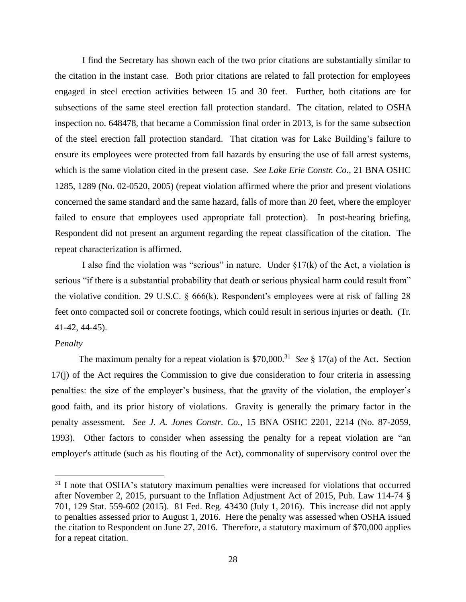I find the Secretary has shown each of the two prior citations are substantially similar to the citation in the instant case. Both prior citations are related to fall protection for employees engaged in steel erection activities between 15 and 30 feet. Further, both citations are for subsections of the same steel erection fall protection standard. The citation, related to OSHA inspection no. 648478, that became a Commission final order in 2013, is for the same subsection of the steel erection fall protection standard. That citation was for Lake Building's failure to ensure its employees were protected from fall hazards by ensuring the use of fall arrest systems, which is the same violation cited in the present case. *See Lake Erie Constr. Co*., 21 BNA OSHC 1285, 1289 (No. 02-0520, 2005) (repeat violation affirmed where the prior and present violations concerned the same standard and the same hazard, falls of more than 20 feet, where the employer failed to ensure that employees used appropriate fall protection). In post-hearing briefing, Respondent did not present an argument regarding the repeat classification of the citation. The repeat characterization is affirmed.

I also find the violation was "serious" in nature. Under  $\S17(k)$  of the Act, a violation is serious "if there is a substantial probability that death or serious physical harm could result from" the violative condition. 29 U.S.C. § 666(k). Respondent's employees were at risk of falling 28 feet onto compacted soil or concrete footings, which could result in serious injuries or death. (Tr. 41-42, 44-45).

## *Penalty*

 $\overline{\phantom{a}}$ 

The maximum penalty for a repeat violation is  $$70,000$ <sup>31</sup> See § 17(a) of the Act. Section 17(j) of the Act requires the Commission to give due consideration to four criteria in assessing penalties: the size of the employer's business, that the gravity of the violation, the employer's good faith, and its prior history of violations. Gravity is generally the primary factor in the penalty assessment. *See J. A. Jones Constr. Co.*, 15 BNA OSHC 2201, 2214 (No. 87-2059, 1993). Other factors to consider when assessing the penalty for a repeat violation are "an employer's attitude (such as his flouting of the Act), commonality of supervisory control over the

<sup>&</sup>lt;sup>31</sup> I note that OSHA's statutory maximum penalties were increased for violations that occurred after November 2, 2015, pursuant to the Inflation Adjustment Act of 2015, Pub. Law 114-74 § 701, 129 Stat. 559-602 (2015). 81 Fed. Reg. 43430 (July 1, 2016). This increase did not apply to penalties assessed prior to August 1, 2016. Here the penalty was assessed when OSHA issued the citation to Respondent on June 27, 2016. Therefore, a statutory maximum of \$70,000 applies for a repeat citation.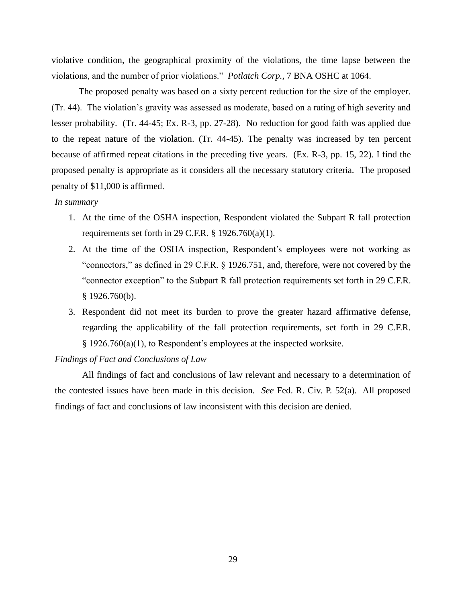violative condition, the geographical proximity of the violations, the time lapse between the violations, and the number of prior violations." *Potlatch Corp.,* 7 BNA OSHC at 1064.

The proposed penalty was based on a sixty percent reduction for the size of the employer. (Tr. 44). The violation's gravity was assessed as moderate, based on a rating of high severity and lesser probability. (Tr. 44-45; Ex. R-3, pp. 27-28). No reduction for good faith was applied due to the repeat nature of the violation. (Tr. 44-45). The penalty was increased by ten percent because of affirmed repeat citations in the preceding five years. (Ex. R-3, pp. 15, 22). I find the proposed penalty is appropriate as it considers all the necessary statutory criteria. The proposed penalty of \$11,000 is affirmed.

## *In summary*

- 1. At the time of the OSHA inspection, Respondent violated the Subpart R fall protection requirements set forth in 29 C.F.R.  $\S$  1926.760(a)(1).
- 2. At the time of the OSHA inspection, Respondent's employees were not working as "connectors," as defined in 29 C.F.R. § 1926.751, and, therefore, were not covered by the "connector exception" to the Subpart R fall protection requirements set forth in 29 C.F.R. § 1926.760(b).
- 3. Respondent did not meet its burden to prove the greater hazard affirmative defense, regarding the applicability of the fall protection requirements, set forth in 29 C.F.R. § 1926.760(a)(1), to Respondent's employees at the inspected worksite.

## *Findings of Fact and Conclusions of Law*

All findings of fact and conclusions of law relevant and necessary to a determination of the contested issues have been made in this decision. *See* Fed. R. Civ. P. 52(a). All proposed findings of fact and conclusions of law inconsistent with this decision are denied.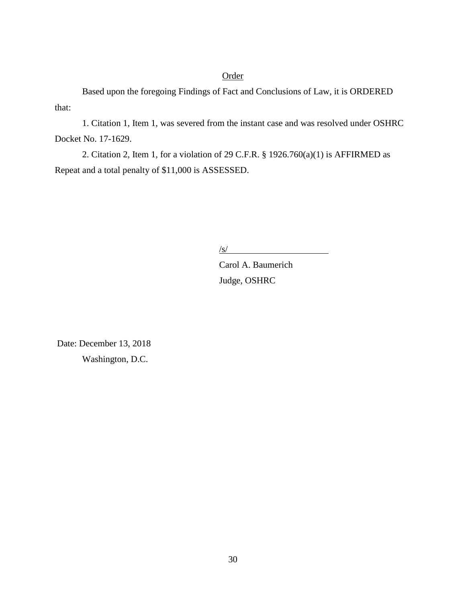## Order

 Based upon the foregoing Findings of Fact and Conclusions of Law, it is ORDERED that:

1. Citation 1, Item 1, was severed from the instant case and was resolved under OSHRC Docket No. 17-1629.

2. Citation 2, Item 1, for a violation of 29 C.F.R. § 1926.760(a)(1) is AFFIRMED as Repeat and a total penalty of \$11,000 is ASSESSED.

 $\sqrt{s/2}$ 

Carol A. Baumerich Judge, OSHRC

Date: December 13, 2018 Washington, D.C.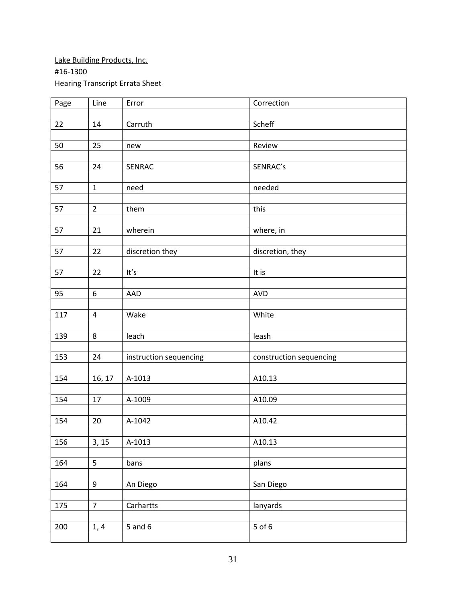# Lake Building Products, Inc. #16-1300 Hearing Transcript Errata Sheet

| Page | Line             | Error                  | Correction              |
|------|------------------|------------------------|-------------------------|
|      |                  |                        |                         |
| 22   | 14               | Carruth                | Scheff                  |
|      |                  |                        |                         |
| 50   | 25               | new                    | Review                  |
|      |                  |                        |                         |
| 56   | 24               | SENRAC                 | SENRAC's                |
|      |                  |                        |                         |
| 57   | $\mathbf{1}$     | need                   | needed                  |
|      |                  |                        |                         |
| 57   | $\overline{2}$   | them                   | this                    |
|      |                  |                        |                         |
| 57   | 21               | wherein                | where, in               |
|      |                  |                        |                         |
| 57   | 22               | discretion they        | discretion, they        |
|      |                  |                        |                         |
| 57   | 22               | It's                   | It is                   |
|      |                  |                        |                         |
| 95   | $\boldsymbol{6}$ | AAD                    | <b>AVD</b>              |
|      |                  |                        |                         |
| 117  | $\overline{4}$   | Wake                   | White                   |
|      |                  |                        |                         |
| 139  | 8                | leach                  | leash                   |
|      |                  |                        |                         |
| 153  | 24               | instruction sequencing | construction sequencing |
|      |                  |                        |                         |
| 154  | 16, 17           | A-1013                 | A10.13                  |
|      |                  |                        |                         |
| 154  | 17               | A-1009                 | A10.09                  |
|      |                  |                        |                         |
| 154  | 20               | A-1042                 | A10.42                  |
|      |                  |                        |                         |
| 156  | 3, 15            | A-1013                 | A10.13                  |
|      |                  |                        |                         |
| 164  | 5                | bans                   | plans                   |
|      |                  |                        |                         |
| 164  | 9                | An Diego               | San Diego               |
|      |                  |                        |                         |
| 175  | $\overline{7}$   | Carhartts              | lanyards                |
|      |                  |                        |                         |
| 200  | 1, 4             | $5$ and $6$            | $5$ of $6$              |
|      |                  |                        |                         |